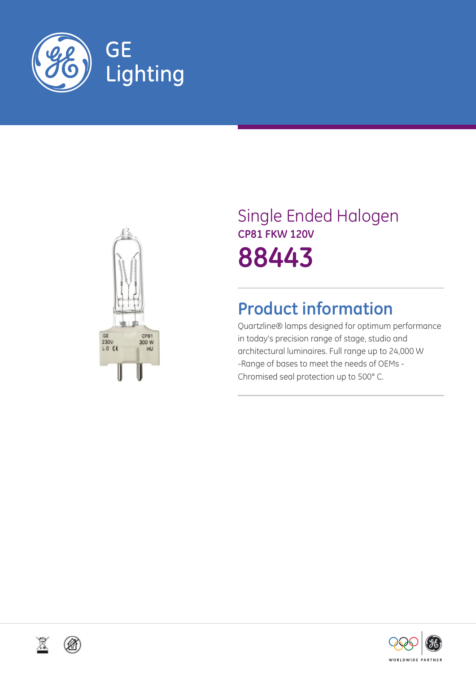



# Single Ended Halogen **CP81 FKW 120V 88443**

## **Product information**

Quartzline® lamps designed for optimum performance in today's precision range of stage, studio and architectural luminaires. Full range up to 24,000 W -Range of bases to meet the needs of OEMs - Chromised seal protection up to 500° C.





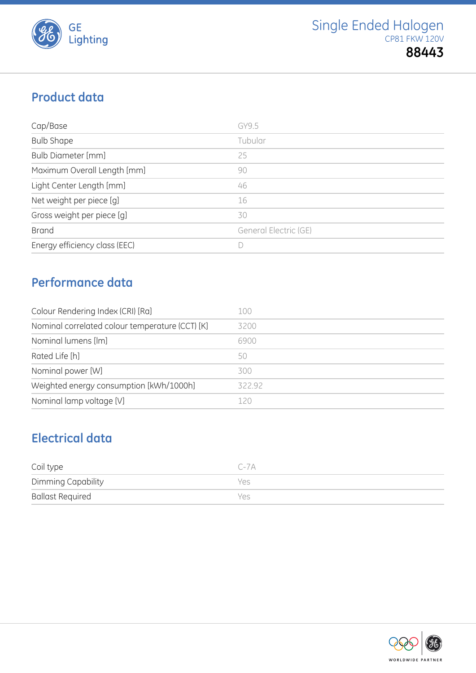

## **Product data**

| Cap/Base                      | GY9.5                 |
|-------------------------------|-----------------------|
| <b>Bulb Shape</b>             | Tubular               |
| <b>Bulb Diameter [mm]</b>     | 25                    |
| Maximum Overall Length [mm]   | 90                    |
| Light Center Length [mm]      | 46                    |
| Net weight per piece [g]      | 16                    |
| Gross weight per piece [g]    | 30                    |
| <b>Brand</b>                  | General Electric (GE) |
| Energy efficiency class (EEC) |                       |

### **Performance data**

| Colour Rendering Index (CRI) [Ra]               | 100    |
|-------------------------------------------------|--------|
| Nominal correlated colour temperature (CCT) [K] | 3200   |
| Nominal lumens [lm]                             | 6900   |
| Rated Life [h]                                  | 50     |
| Nominal power [W]                               | 300    |
| Weighted energy consumption [kWh/1000h]         | 322.92 |
| Nominal lamp voltage [V]                        | 120    |

## **Electrical data**

| Coil type               | $C - 7A$ |
|-------------------------|----------|
| Dimming Capability      | Yes      |
| <b>Ballast Required</b> | Yes      |